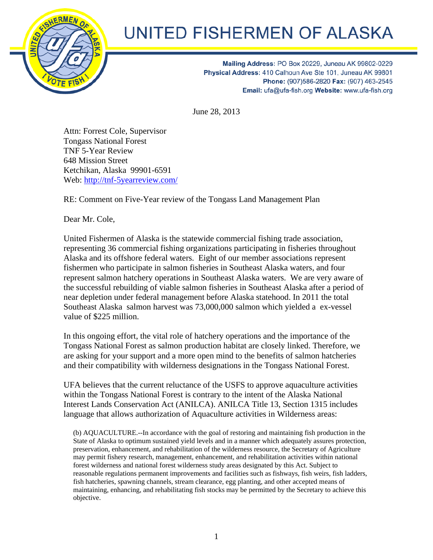

## UNITED FISHERMEN OF ALASKA

Mailing Address: PO Box 20229, Juneau AK 99802-0229 Physical Address: 410 Calhoun Ave Ste 101, Juneau AK 99801 Phone: (907)586-2820 Fax: (907) 463-2545 Email: ufa@ufa-fish.org Website: www.ufa-fish.org

June 28, 2013

Attn: Forrest Cole, Supervisor Tongass National Forest TNF 5-Year Review 648 Mission Street Ketchikan, Alaska 99901-6591 Web: http://tnf-5yearreview.com/

RE: Comment on Five-Year review of the Tongass Land Management Plan

Dear Mr. Cole,

United Fishermen of Alaska is the statewide commercial fishing trade association, representing 36 commercial fishing organizations participating in fisheries throughout Alaska and its offshore federal waters. Eight of our member associations represent fishermen who participate in salmon fisheries in Southeast Alaska waters, and four represent salmon hatchery operations in Southeast Alaska waters. We are very aware of the successful rebuilding of viable salmon fisheries in Southeast Alaska after a period of near depletion under federal management before Alaska statehood. In 2011 the total Southeast Alaska salmon harvest was 73,000,000 salmon which yielded a ex-vessel value of \$225 million.

In this ongoing effort, the vital role of hatchery operations and the importance of the Tongass National Forest as salmon production habitat are closely linked. Therefore, we are asking for your support and a more open mind to the benefits of salmon hatcheries and their compatibility with wilderness designations in the Tongass National Forest.

UFA believes that the current reluctance of the USFS to approve aquaculture activities within the Tongass National Forest is contrary to the intent of the Alaska National Interest Lands Conservation Act (ANILCA). ANILCA Title 13, Section 1315 includes language that allows authorization of Aquaculture activities in Wilderness areas:

(b) AQUACULTURE.--In accordance with the goal of restoring and maintaining fish production in the State of Alaska to optimum sustained yield levels and in a manner which adequately assures protection, preservation, enhancement, and rehabilitation of the wilderness resource, the Secretary of Agriculture may permit fishery research, management, enhancement, and rehabilitation activities within national forest wilderness and national forest wilderness study areas designated by this Act. Subject to reasonable regulations permanent improvements and facilities such as fishways, fish weirs, fish ladders, fish hatcheries, spawning channels, stream clearance, egg planting, and other accepted means of maintaining, enhancing, and rehabilitating fish stocks may be permitted by the Secretary to achieve this objective.